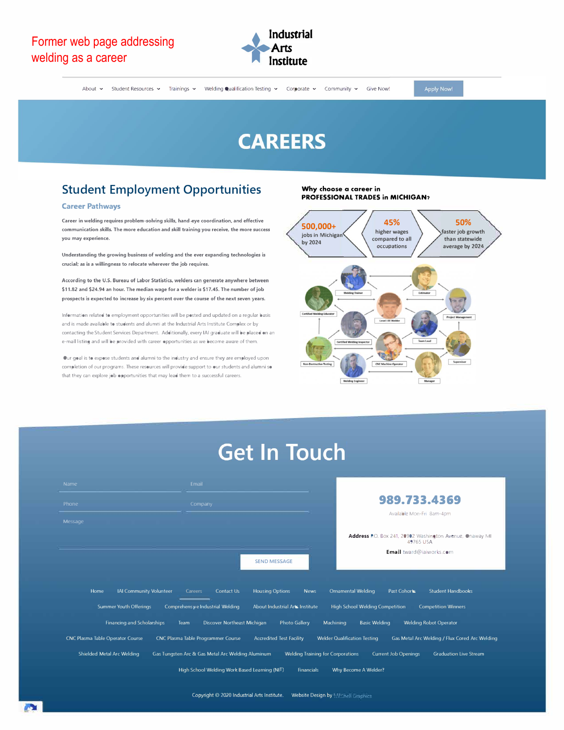

Apply Now!

# **CAREERS**

## Student Employment Opportunities

#### **Career Pathways**

**Career in welding requires problem-solving skills. hand eye coordination. and effective communication skills. The more education and skill training you receive, the more success you may experience.** 

**Understanding the growing business of welding and the ever expanding technologies is crucial; as is a willingness to relocate wherever the job requires.** 

**According to the U.S. Bureau of Labor Statistics, welders can generate anywhere between \$11.82 and \$24.94 an hour. The median wage for a welder is \$17.45. The number of job**  prospects is expected to increase by six percent over the course of the next seven years.

Information related to employment opportunities will be posted and updated on a regular basis and is made available to students and alumni at the Industrial Arts Institute Complex or by contacting the Student Services Department. Additionally, every IAI graduate will be placed on an e-mail listing and will be provided with career opportunities as we become aware of them.

Our goal is to expose students and alumni to the industry and ensure they are employed upon completion of our programs. These resources will provide support to our students and alumni so that they can explore job opportunities that may lead them to a successful careers.

#### **Why choose o coreer in PROFESSIONAL TRADES in MICHIGAN?**



# **Get In Touch**

| Name                                    | <b>Fmail</b>                                                                                  |                                                                                       |
|-----------------------------------------|-----------------------------------------------------------------------------------------------|---------------------------------------------------------------------------------------|
| Phone                                   | Company                                                                                       | 989.733.4369                                                                          |
| Message                                 |                                                                                               | Available Mon-Fri 8am-4pm                                                             |
|                                         |                                                                                               | Address P.O. Box 241, 20902 Washington Avenue, Onaway MI<br>49765 USA                 |
|                                         | <b>SEND MESSAGE</b>                                                                           | Email tward@iaiworks.com                                                              |
|                                         |                                                                                               |                                                                                       |
| <b>IAI Community Volunteer</b><br>Home  | <b>Housing Options</b><br>Contact Us<br><b>Careers</b><br><b>News</b>                         | <b>Ornamental Welding</b><br><b>Student Handbooks</b><br>Past Cohorts                 |
| <b>Summer Youth Offerings</b>           | Comprehensive Industrial Welding<br>About Industrial Arts Institute                           | <b>High School Welding Competition</b><br><b>Competition Winners</b>                  |
| Financing and Scholarships              | Discover Northeast Michigan<br><b>Photo Gallery</b><br><b>Team</b>                            | Machining<br><b>Basic Welding</b><br><b>Welding Robot Operator</b>                    |
| <b>CNC Plasma Table Operator Course</b> | CNC Plasma Table Programmer Course<br><b>Accredited Test Facility</b>                         | <b>Welder Qualification Testing</b><br>Gas Metal Arc Welding / Flux Cored Arc Welding |
| Shielded Metal Arc Welding              | Gas Tungsten Arc & Gas Metal Arc Welding Aluminum<br><b>Welding Training for Corporations</b> | <b>Current Job Openings</b><br><b>Graduation Live Stream</b>                          |
|                                         | High School Welding Work Based Learning (NIT)<br><b>Financials</b>                            | Why Become A Welder?                                                                  |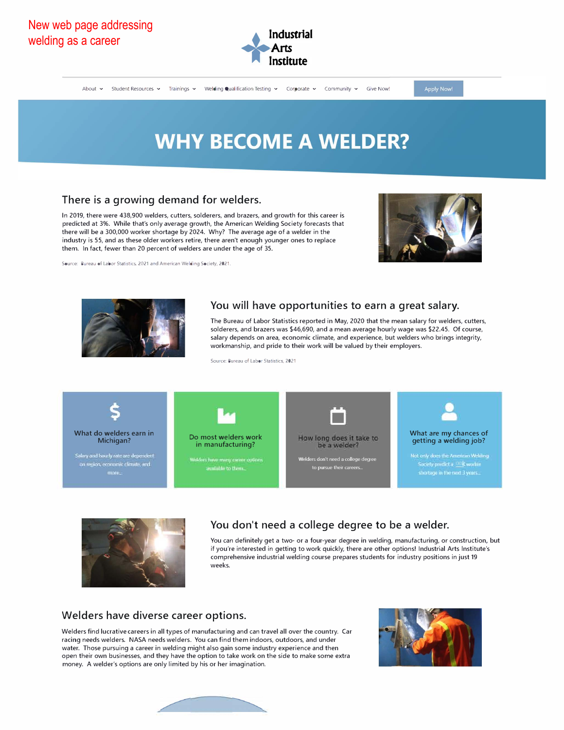

About v Student Resources v Trainings v Weldling Qualification Testing v Corporate v Community v Give Now!

Apply Now!

# **WHY BECOME A WELDER?**

## **There is a growing demand for welders.**

In 2019, there were 438,900 welders, cutters, solderers, and brazers, and growth for this career is predicted at 3%. While that's only *average* growth, the American Welding Society forecasts that there will be a 300,000 worker shortage by 2024. Why? The *average* age of a welder in the industry is 55, and as these older workers retire, there aren't enough younger ones to replace them. In fact, fewer than 20 percent of welders are under the age of 35.

**Source: Bureau of Labor Statistics, 2021 and American Welding Society, 2021.** 





#### **You will have opportunities to earn a great salary.**

The Bureau of Labor Statistics reported in May, 2020 that the mean salary for welders, cutters, solderers, and brazers was \$46,690, and a mean *average* hourly wage was \$22.45. Of course, salary depends on area, economic climate, and experience, but welders who brings integrity, workmanship, and pride to their work will be valued by their employers.

**Source: Bureau of Labor Statistics, 2021** 





## **You don't need a college degree to be a welder.**

You can definitely get a two- or a four-year degree in welding, manufacturing, or construction, but if you're interested in getting to work quickly, there are other options! Industrial Arts lnstitute's comprehensive industrial welding course prepares students for industry positions in just 19 weeks.

#### **Welders have diverse career options.**

Welders find lucrative careers in all types of manufacturing and can travel all *over* the country. Car racing needs welders. NASA needs welders. You can find them indoors, outdoors, and under water. Those pursuing a career in welding might also gain some industry experience and then open their own businesses, and they have the option to take work on the side to make some extra money. A welder's options are only limited by his or her imagination.